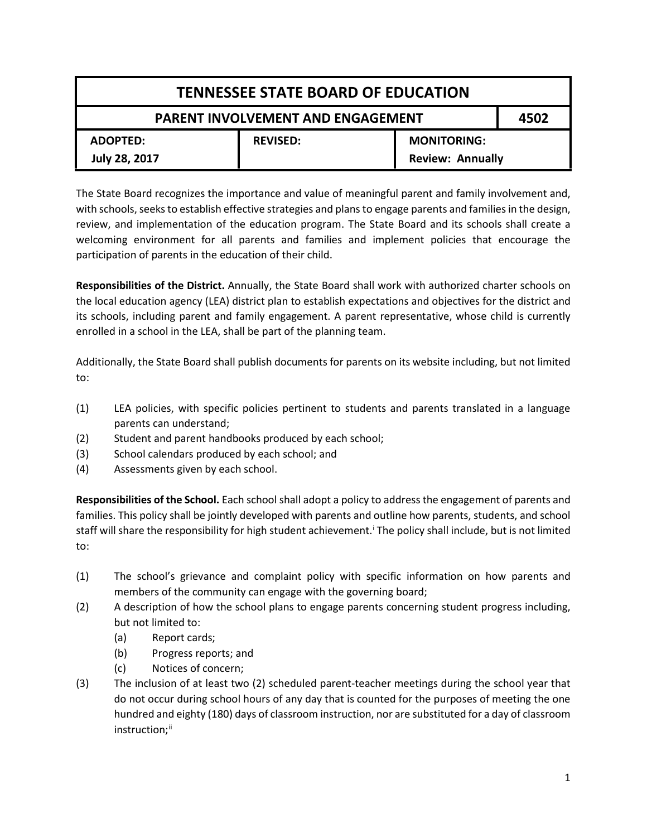| <b>TENNESSEE STATE BOARD OF EDUCATION</b>        |                 |                         |  |
|--------------------------------------------------|-----------------|-------------------------|--|
| <b>PARENT INVOLVEMENT AND ENGAGEMENT</b><br>4502 |                 |                         |  |
| ADOPTED:                                         | <b>REVISED:</b> | <b>MONITORING:</b>      |  |
| July 28, 2017                                    |                 | <b>Review: Annually</b> |  |

The State Board recognizes the importance and value of meaningful parent and family involvement and, with schools, seeks to establish effective strategies and plans to engage parents and families in the design, review, and implementation of the education program. The State Board and its schools shall create a welcoming environment for all parents and families and implement policies that encourage the participation of parents in the education of their child.

**Responsibilities of the District.** Annually, the State Board shall work with authorized charter schools on the local education agency (LEA) district plan to establish expectations and objectives for the district and its schools, including parent and family engagement. A parent representative, whose child is currently enrolled in a school in the LEA, shall be part of the planning team.

Additionally, the State Board shall publish documents for parents on its website including, but not limited to:

- (1) LEA policies, with specific policies pertinent to students and parents translated in a language parents can understand;
- (2) Student and parent handbooks produced by each school;
- (3) School calendars produced by each school; and
- (4) Assessments given by each school.

**Responsibilities of the School.** Each school shall adopt a policy to address the engagement of parents and families. This policy shall be jointly developed with parents and outline how parents, students, and school staff w[i](#page-1-0)ll share the responsibility for high student achievement.<sup>i</sup> The policy shall include, but is not limited to:

- (1) The school's grievance and complaint policy with specific information on how parents and members of the community can engage with the governing board;
- (2) A description of how the school plans to engage parents concerning student progress including, but not limited to:
	- (a) Report cards;
	- (b) Progress reports; and
	- (c) Notices of concern;
- (3) The inclusion of at least two (2) scheduled parent-teacher meetings during the school year that do not occur during school hours of any day that is counted for the purposes of meeting the one hundred and eighty (180) days of classroom instruction, nor are substituted for a day of classroom instruction;<sup>[ii](#page-1-1)</sup>